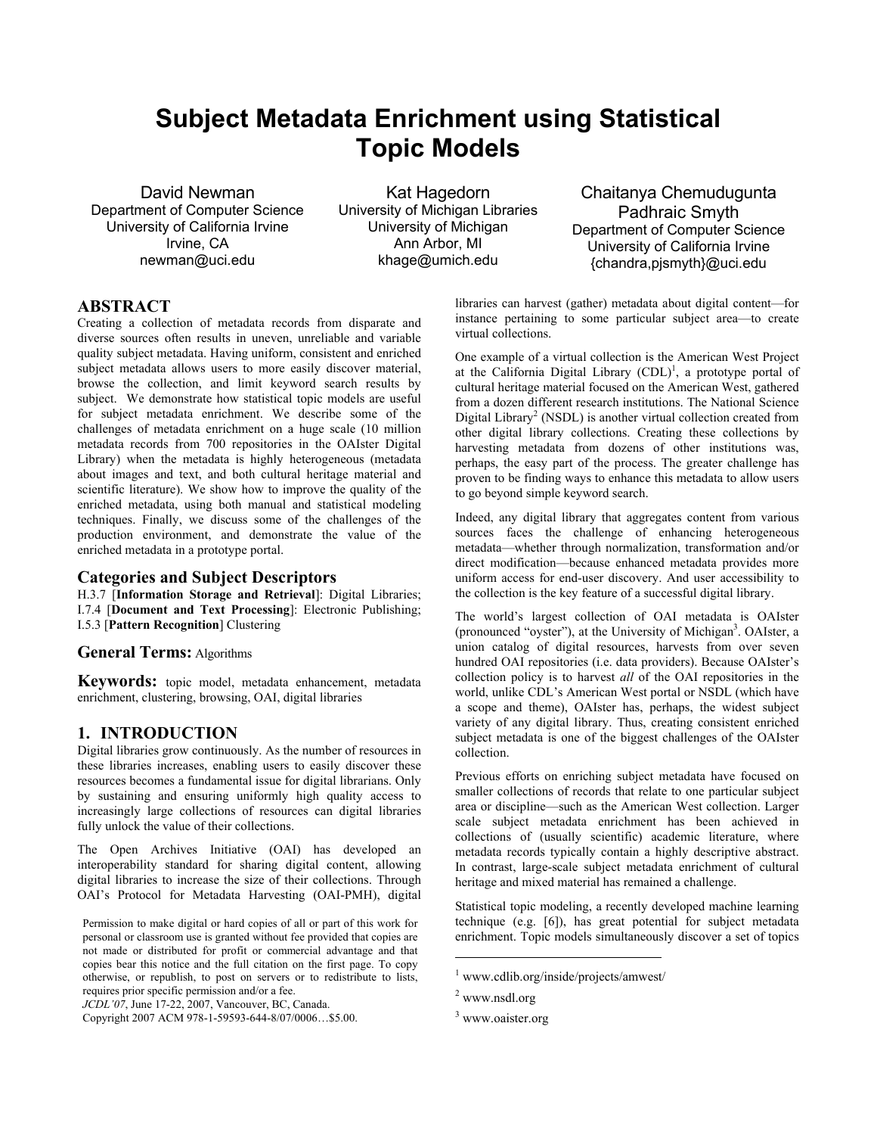# **Subject Metadata Enrichment using Statistical Topic Models**

David Newman Department of Computer Science University of California Irvine Irvine, CA newman@uci.edu

Kat Hagedorn University of Michigan Libraries University of Michigan Ann Arbor, MI khage@umich.edu

Chaitanya Chemudugunta Padhraic Smyth Department of Computer Science University of California Irvine {chandra,pjsmyth}@uci.edu

# **ABSTRACT**

Creating a collection of metadata records from disparate and diverse sources often results in uneven, unreliable and variable quality subject metadata. Having uniform, consistent and enriched subject metadata allows users to more easily discover material, browse the collection, and limit keyword search results by subject. We demonstrate how statistical topic models are useful for subject metadata enrichment. We describe some of the challenges of metadata enrichment on a huge scale (10 million metadata records from 700 repositories in the OAIster Digital Library) when the metadata is highly heterogeneous (metadata about images and text, and both cultural heritage material and scientific literature). We show how to improve the quality of the enriched metadata, using both manual and statistical modeling techniques. Finally, we discuss some of the challenges of the production environment, and demonstrate the value of the enriched metadata in a prototype portal.

### **Categories and Subject Descriptors**

H.3.7 [**Information Storage and Retrieval**]: Digital Libraries; I.7.4 [**Document and Text Processing**]: Electronic Publishing; I.5.3 [**Pattern Recognition**] Clustering

#### **General Terms:** Algorithms

**Keywords:** topic model, metadata enhancement, metadata enrichment, clustering, browsing, OAI, digital libraries

# **1. INTRODUCTION**

Digital libraries grow continuously. As the number of resources in these libraries increases, enabling users to easily discover these resources becomes a fundamental issue for digital librarians. Only by sustaining and ensuring uniformly high quality access to increasingly large collections of resources can digital libraries fully unlock the value of their collections.

The Open Archives Initiative (OAI) has developed an interoperability standard for sharing digital content, allowing digital libraries to increase the size of their collections. Through OAI's Protocol for Metadata Harvesting (OAI-PMH), digital

libraries can harvest (gather) metadata about digital content—for instance pertaining to some particular subject area—to create virtual collections.

One example of a virtual collection is the American West Project at the California Digital Library  $(CDL)^1$ , a prototype portal of cultural heritage material focused on the American West, gathered from a dozen different research institutions. The National Science Digital Library<sup>2</sup> (NSDL) is another virtual collection created from other digital library collections. Creating these collections by harvesting metadata from dozens of other institutions was, perhaps, the easy part of the process. The greater challenge has proven to be finding ways to enhance this metadata to allow users to go beyond simple keyword search.

Indeed, any digital library that aggregates content from various sources faces the challenge of enhancing heterogeneous metadata—whether through normalization, transformation and/or direct modification—because enhanced metadata provides more uniform access for end-user discovery. And user accessibility to the collection is the key feature of a successful digital library.

The world's largest collection of OAI metadata is OAIster (pronounced "oyster"), at the University of Michigan<sup>3</sup>. OAIster, a union catalog of digital resources, harvests from over seven hundred OAI repositories (i.e. data providers). Because OAIster's collection policy is to harvest *all* of the OAI repositories in the world, unlike CDL's American West portal or NSDL (which have a scope and theme), OAIster has, perhaps, the widest subject variety of any digital library. Thus, creating consistent enriched subject metadata is one of the biggest challenges of the OAIster collection.

Previous efforts on enriching subject metadata have focused on smaller collections of records that relate to one particular subject area or discipline—such as the American West collection. Larger scale subject metadata enrichment has been achieved in collections of (usually scientific) academic literature, where metadata records typically contain a highly descriptive abstract. In contrast, large-scale subject metadata enrichment of cultural heritage and mixed material has remained a challenge.

Statistical topic modeling, a recently developed machine learning technique (e.g. [6]), has great potential for subject metadata enrichment. Topic models simultaneously discover a set of topics

1

Permission to make digital or hard copies of all or part of this work for personal or classroom use is granted without fee provided that copies are not made or distributed for profit or commercial advantage and that copies bear this notice and the full citation on the first page. To copy otherwise, or republish, to post on servers or to redistribute to lists, requires prior specific permission and/or a fee.

*JCDL'07*, June 17-22, 2007, Vancouver, BC, Canada.

Copyright 2007 ACM 978-1-59593-644-8/07/0006…\$5.00.

<sup>1</sup> www.cdlib.org/inside/projects/amwest/

<sup>2</sup> www.nsdl.org

<sup>&</sup>lt;sup>3</sup> www.oaister.org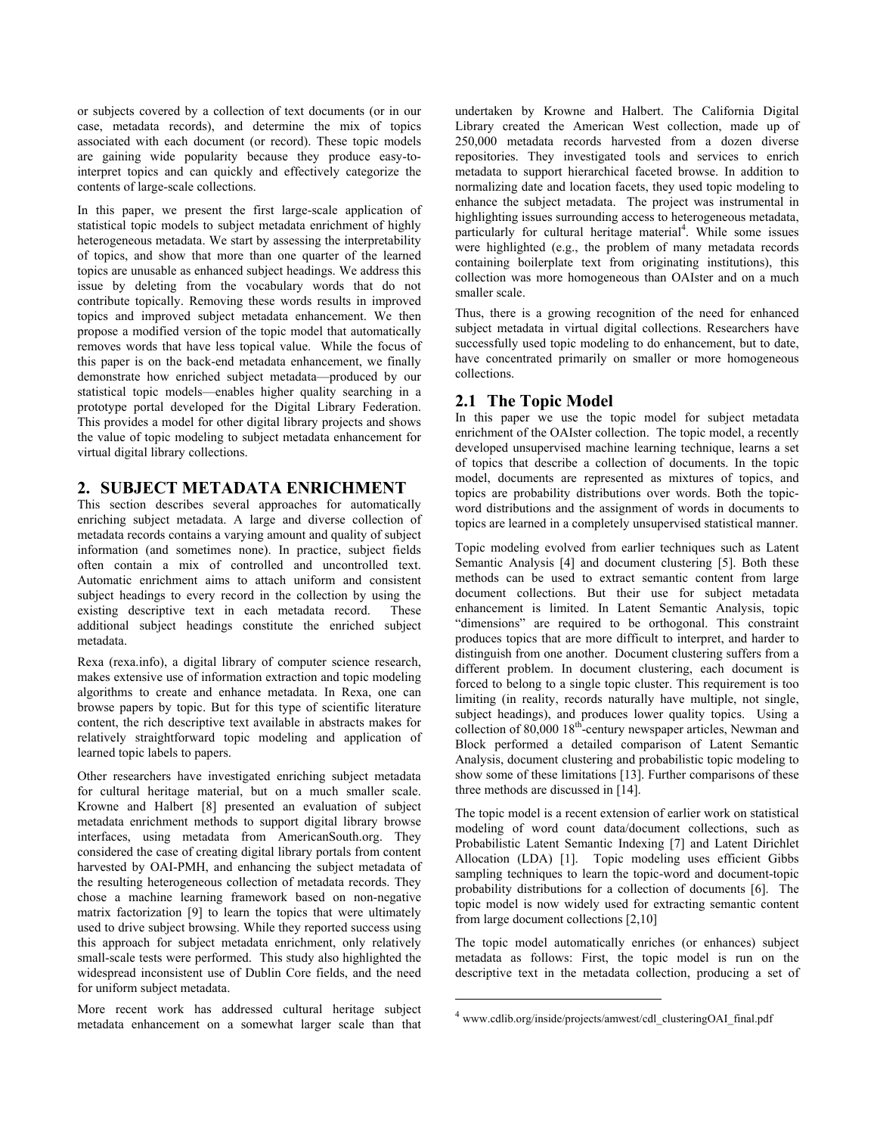or subjects covered by a collection of text documents (or in our case, metadata records), and determine the mix of topics associated with each document (or record). These topic models are gaining wide popularity because they produce easy-tointerpret topics and can quickly and effectively categorize the contents of large-scale collections.

In this paper, we present the first large-scale application of statistical topic models to subject metadata enrichment of highly heterogeneous metadata. We start by assessing the interpretability of topics, and show that more than one quarter of the learned topics are unusable as enhanced subject headings. We address this issue by deleting from the vocabulary words that do not contribute topically. Removing these words results in improved topics and improved subject metadata enhancement. We then propose a modified version of the topic model that automatically removes words that have less topical value. While the focus of this paper is on the back-end metadata enhancement, we finally demonstrate how enriched subject metadata—produced by our statistical topic models—enables higher quality searching in a prototype portal developed for the Digital Library Federation. This provides a model for other digital library projects and shows the value of topic modeling to subject metadata enhancement for virtual digital library collections.

# **2. SUBJECT METADATA ENRICHMENT**

This section describes several approaches for automatically enriching subject metadata. A large and diverse collection of metadata records contains a varying amount and quality of subject information (and sometimes none). In practice, subject fields often contain a mix of controlled and uncontrolled text. Automatic enrichment aims to attach uniform and consistent subject headings to every record in the collection by using the existing descriptive text in each metadata record. These additional subject headings constitute the enriched subject metadata.

Rexa (rexa.info), a digital library of computer science research, makes extensive use of information extraction and topic modeling algorithms to create and enhance metadata. In Rexa, one can browse papers by topic. But for this type of scientific literature content, the rich descriptive text available in abstracts makes for relatively straightforward topic modeling and application of learned topic labels to papers.

Other researchers have investigated enriching subject metadata for cultural heritage material, but on a much smaller scale. Krowne and Halbert [8] presented an evaluation of subject metadata enrichment methods to support digital library browse interfaces, using metadata from AmericanSouth.org. They considered the case of creating digital library portals from content harvested by OAI-PMH, and enhancing the subject metadata of the resulting heterogeneous collection of metadata records. They chose a machine learning framework based on non-negative matrix factorization [9] to learn the topics that were ultimately used to drive subject browsing. While they reported success using this approach for subject metadata enrichment, only relatively small-scale tests were performed. This study also highlighted the widespread inconsistent use of Dublin Core fields, and the need for uniform subject metadata.

More recent work has addressed cultural heritage subject metadata enhancement on a somewhat larger scale than that undertaken by Krowne and Halbert. The California Digital Library created the American West collection, made up of 250,000 metadata records harvested from a dozen diverse repositories. They investigated tools and services to enrich metadata to support hierarchical faceted browse. In addition to normalizing date and location facets, they used topic modeling to enhance the subject metadata. The project was instrumental in highlighting issues surrounding access to heterogeneous metadata, particularly for cultural heritage material<sup>4</sup>. While some issues were highlighted (e.g., the problem of many metadata records containing boilerplate text from originating institutions), this collection was more homogeneous than OAIster and on a much smaller scale.

Thus, there is a growing recognition of the need for enhanced subject metadata in virtual digital collections. Researchers have successfully used topic modeling to do enhancement, but to date, have concentrated primarily on smaller or more homogeneous collections.

# **2.1 The Topic Model**

In this paper we use the topic model for subject metadata enrichment of the OAIster collection. The topic model, a recently developed unsupervised machine learning technique, learns a set of topics that describe a collection of documents. In the topic model, documents are represented as mixtures of topics, and topics are probability distributions over words. Both the topicword distributions and the assignment of words in documents to topics are learned in a completely unsupervised statistical manner.

Topic modeling evolved from earlier techniques such as Latent Semantic Analysis [4] and document clustering [5]. Both these methods can be used to extract semantic content from large document collections. But their use for subject metadata enhancement is limited. In Latent Semantic Analysis, topic "dimensions" are required to be orthogonal. This constraint produces topics that are more difficult to interpret, and harder to distinguish from one another. Document clustering suffers from a different problem. In document clustering, each document is forced to belong to a single topic cluster. This requirement is too limiting (in reality, records naturally have multiple, not single, subject headings), and produces lower quality topics. Using a collection of 80,000 18<sup>th</sup>-century newspaper articles, Newman and Block performed a detailed comparison of Latent Semantic Analysis, document clustering and probabilistic topic modeling to show some of these limitations [13]. Further comparisons of these three methods are discussed in [14].

The topic model is a recent extension of earlier work on statistical modeling of word count data/document collections, such as Probabilistic Latent Semantic Indexing [7] and Latent Dirichlet Allocation (LDA) [1]. Topic modeling uses efficient Gibbs sampling techniques to learn the topic-word and document-topic probability distributions for a collection of documents [6]. The topic model is now widely used for extracting semantic content from large document collections [2,10]

The topic model automatically enriches (or enhances) subject metadata as follows: First, the topic model is run on the descriptive text in the metadata collection, producing a set of

1

<sup>4</sup> www.cdlib.org/inside/projects/amwest/cdl\_clusteringOAI\_final.pdf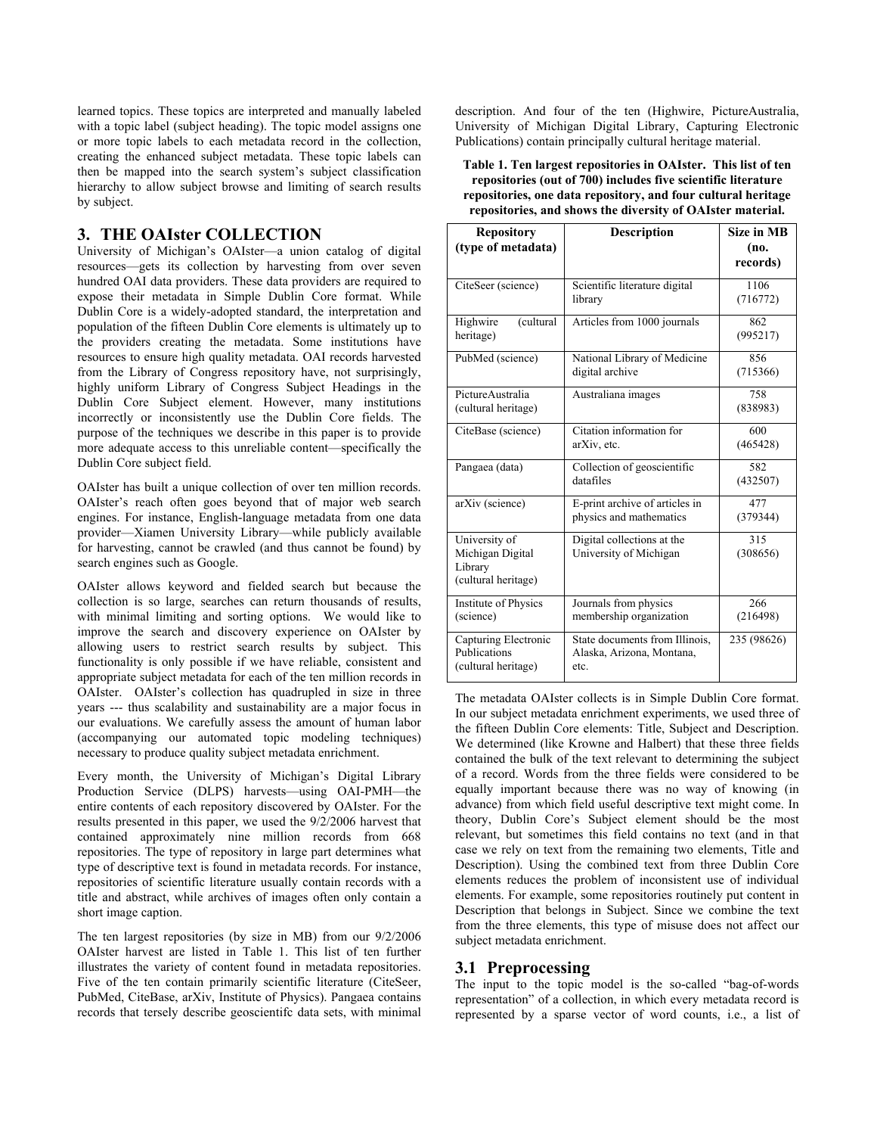learned topics. These topics are interpreted and manually labeled with a topic label (subject heading). The topic model assigns one or more topic labels to each metadata record in the collection, creating the enhanced subject metadata. These topic labels can then be mapped into the search system's subject classification hierarchy to allow subject browse and limiting of search results by subject.

# **3. THE OAIster COLLECTION**

University of Michigan's OAIster—a union catalog of digital resources—gets its collection by harvesting from over seven hundred OAI data providers. These data providers are required to expose their metadata in Simple Dublin Core format. While Dublin Core is a widely-adopted standard, the interpretation and population of the fifteen Dublin Core elements is ultimately up to the providers creating the metadata. Some institutions have resources to ensure high quality metadata. OAI records harvested from the Library of Congress repository have, not surprisingly, highly uniform Library of Congress Subject Headings in the Dublin Core Subject element. However, many institutions incorrectly or inconsistently use the Dublin Core fields. The purpose of the techniques we describe in this paper is to provide more adequate access to this unreliable content—specifically the Dublin Core subject field.

OAIster has built a unique collection of over ten million records. OAIster's reach often goes beyond that of major web search engines. For instance, English-language metadata from one data provider—Xiamen University Library—while publicly available for harvesting, cannot be crawled (and thus cannot be found) by search engines such as Google.

OAIster allows keyword and fielded search but because the collection is so large, searches can return thousands of results, with minimal limiting and sorting options. We would like to improve the search and discovery experience on OAIster by allowing users to restrict search results by subject. This functionality is only possible if we have reliable, consistent and appropriate subject metadata for each of the ten million records in OAIster. OAIster's collection has quadrupled in size in three years --- thus scalability and sustainability are a major focus in our evaluations. We carefully assess the amount of human labor (accompanying our automated topic modeling techniques) necessary to produce quality subject metadata enrichment.

Every month, the University of Michigan's Digital Library Production Service (DLPS) harvests—using OAI-PMH—the entire contents of each repository discovered by OAIster. For the results presented in this paper, we used the 9/2/2006 harvest that contained approximately nine million records from 668 repositories. The type of repository in large part determines what type of descriptive text is found in metadata records. For instance, repositories of scientific literature usually contain records with a title and abstract, while archives of images often only contain a short image caption.

The ten largest repositories (by size in MB) from our 9/2/2006 OAIster harvest are listed in Table 1. This list of ten further illustrates the variety of content found in metadata repositories. Five of the ten contain primarily scientific literature (CiteSeer, PubMed, CiteBase, arXiv, Institute of Physics). Pangaea contains records that tersely describe geoscientifc data sets, with minimal description. And four of the ten (Highwire, PictureAustralia, University of Michigan Digital Library, Capturing Electronic Publications) contain principally cultural heritage material.

**Table 1. Ten largest repositories in OAIster. This list of ten repositories (out of 700) includes five scientific literature repositories, one data repository, and four cultural heritage repositories, and shows the diversity of OAIster material.** 

| <b>Repository</b><br>(type of metadata)                             | <b>Description</b>                                                  | <b>Size in MB</b><br>(no.<br>records) |
|---------------------------------------------------------------------|---------------------------------------------------------------------|---------------------------------------|
| CiteSeer (science)                                                  | Scientific literature digital<br>library                            | 1106<br>(716772)                      |
| Highwire<br>(cultural<br>heritage)                                  | Articles from 1000 journals                                         | 862<br>(995217)                       |
| PubMed (science)                                                    | National Library of Medicine<br>digital archive                     | 856<br>(715366)                       |
| PictureAustralia<br>(cultural heritage)                             | Australiana images                                                  | 758<br>(838983)                       |
| CiteBase (science)                                                  | Citation information for<br>arXiv, etc.                             | 600<br>(465428)                       |
| Pangaea (data)                                                      | Collection of geoscientific<br>datafiles                            | 582<br>(432507)                       |
| arXiv (science)                                                     | E-print archive of articles in<br>physics and mathematics           | 477<br>(379344)                       |
| University of<br>Michigan Digital<br>Library<br>(cultural heritage) | Digital collections at the<br>University of Michigan                | 315<br>(308656)                       |
| Institute of Physics<br>(science)                                   | Journals from physics<br>membership organization                    | 266<br>(216498)                       |
| Capturing Electronic<br>Publications<br>(cultural heritage)         | State documents from Illinois,<br>Alaska, Arizona, Montana,<br>etc. | 235 (98626)                           |

The metadata OAIster collects is in Simple Dublin Core format. In our subject metadata enrichment experiments, we used three of the fifteen Dublin Core elements: Title, Subject and Description. We determined (like Krowne and Halbert) that these three fields contained the bulk of the text relevant to determining the subject of a record. Words from the three fields were considered to be equally important because there was no way of knowing (in advance) from which field useful descriptive text might come. In theory, Dublin Core's Subject element should be the most relevant, but sometimes this field contains no text (and in that case we rely on text from the remaining two elements, Title and Description). Using the combined text from three Dublin Core elements reduces the problem of inconsistent use of individual elements. For example, some repositories routinely put content in Description that belongs in Subject. Since we combine the text from the three elements, this type of misuse does not affect our subject metadata enrichment.

#### **3.1 Preprocessing**

The input to the topic model is the so-called "bag-of-words representation" of a collection, in which every metadata record is represented by a sparse vector of word counts, i.e., a list of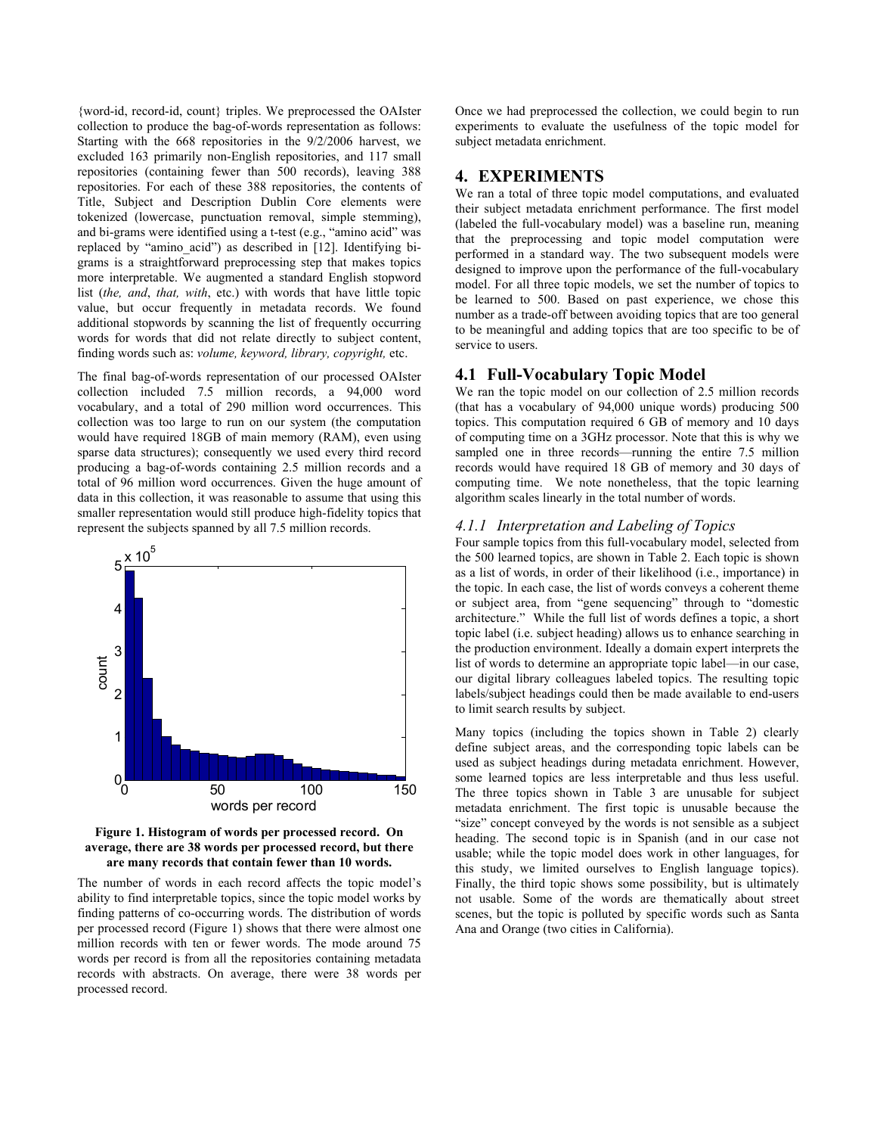{word-id, record-id, count} triples. We preprocessed the OAIster collection to produce the bag-of-words representation as follows: Starting with the 668 repositories in the 9/2/2006 harvest, we excluded 163 primarily non-English repositories, and 117 small repositories (containing fewer than 500 records), leaving 388 repositories. For each of these 388 repositories, the contents of Title, Subject and Description Dublin Core elements were tokenized (lowercase, punctuation removal, simple stemming), and bi-grams were identified using a t-test (e.g., "amino acid" was replaced by "amino\_acid") as described in [12]. Identifying bigrams is a straightforward preprocessing step that makes topics more interpretable. We augmented a standard English stopword list (*the, and*, *that, with*, etc.) with words that have little topic value, but occur frequently in metadata records. We found additional stopwords by scanning the list of frequently occurring words for words that did not relate directly to subject content, finding words such as: *volume, keyword, library, copyright,* etc.

The final bag-of-words representation of our processed OAIster collection included 7.5 million records, a 94,000 word vocabulary, and a total of 290 million word occurrences. This collection was too large to run on our system (the computation would have required 18GB of main memory (RAM), even using sparse data structures); consequently we used every third record producing a bag-of-words containing 2.5 million records and a total of 96 million word occurrences. Given the huge amount of data in this collection, it was reasonable to assume that using this smaller representation would still produce high-fidelity topics that represent the subjects spanned by all 7.5 million records.



**Figure 1. Histogram of words per processed record. On average, there are 38 words per processed record, but there are many records that contain fewer than 10 words.** 

The number of words in each record affects the topic model's ability to find interpretable topics, since the topic model works by finding patterns of co-occurring words. The distribution of words per processed record (Figure 1) shows that there were almost one million records with ten or fewer words. The mode around 75 words per record is from all the repositories containing metadata records with abstracts. On average, there were 38 words per processed record.

Once we had preprocessed the collection, we could begin to run experiments to evaluate the usefulness of the topic model for subject metadata enrichment.

## **4. EXPERIMENTS**

We ran a total of three topic model computations, and evaluated their subject metadata enrichment performance. The first model (labeled the full-vocabulary model) was a baseline run, meaning that the preprocessing and topic model computation were performed in a standard way. The two subsequent models were designed to improve upon the performance of the full-vocabulary model. For all three topic models, we set the number of topics to be learned to 500. Based on past experience, we chose this number as a trade-off between avoiding topics that are too general to be meaningful and adding topics that are too specific to be of service to users.

### **4.1 Full-Vocabulary Topic Model**

We ran the topic model on our collection of 2.5 million records (that has a vocabulary of 94,000 unique words) producing 500 topics. This computation required 6 GB of memory and 10 days of computing time on a 3GHz processor. Note that this is why we sampled one in three records—running the entire 7.5 million records would have required 18 GB of memory and 30 days of computing time. We note nonetheless, that the topic learning algorithm scales linearly in the total number of words.

### *4.1.1 Interpretation and Labeling of Topics*

Four sample topics from this full-vocabulary model, selected from the 500 learned topics, are shown in Table 2. Each topic is shown as a list of words, in order of their likelihood (i.e., importance) in the topic. In each case, the list of words conveys a coherent theme or subject area, from "gene sequencing" through to "domestic architecture." While the full list of words defines a topic, a short topic label (i.e. subject heading) allows us to enhance searching in the production environment. Ideally a domain expert interprets the list of words to determine an appropriate topic label—in our case, our digital library colleagues labeled topics. The resulting topic labels/subject headings could then be made available to end-users to limit search results by subject.

Many topics (including the topics shown in Table 2) clearly define subject areas, and the corresponding topic labels can be used as subject headings during metadata enrichment. However, some learned topics are less interpretable and thus less useful. The three topics shown in Table 3 are unusable for subject metadata enrichment. The first topic is unusable because the "size" concept conveyed by the words is not sensible as a subject heading. The second topic is in Spanish (and in our case not usable; while the topic model does work in other languages, for this study, we limited ourselves to English language topics). Finally, the third topic shows some possibility, but is ultimately not usable. Some of the words are thematically about street scenes, but the topic is polluted by specific words such as Santa Ana and Orange (two cities in California).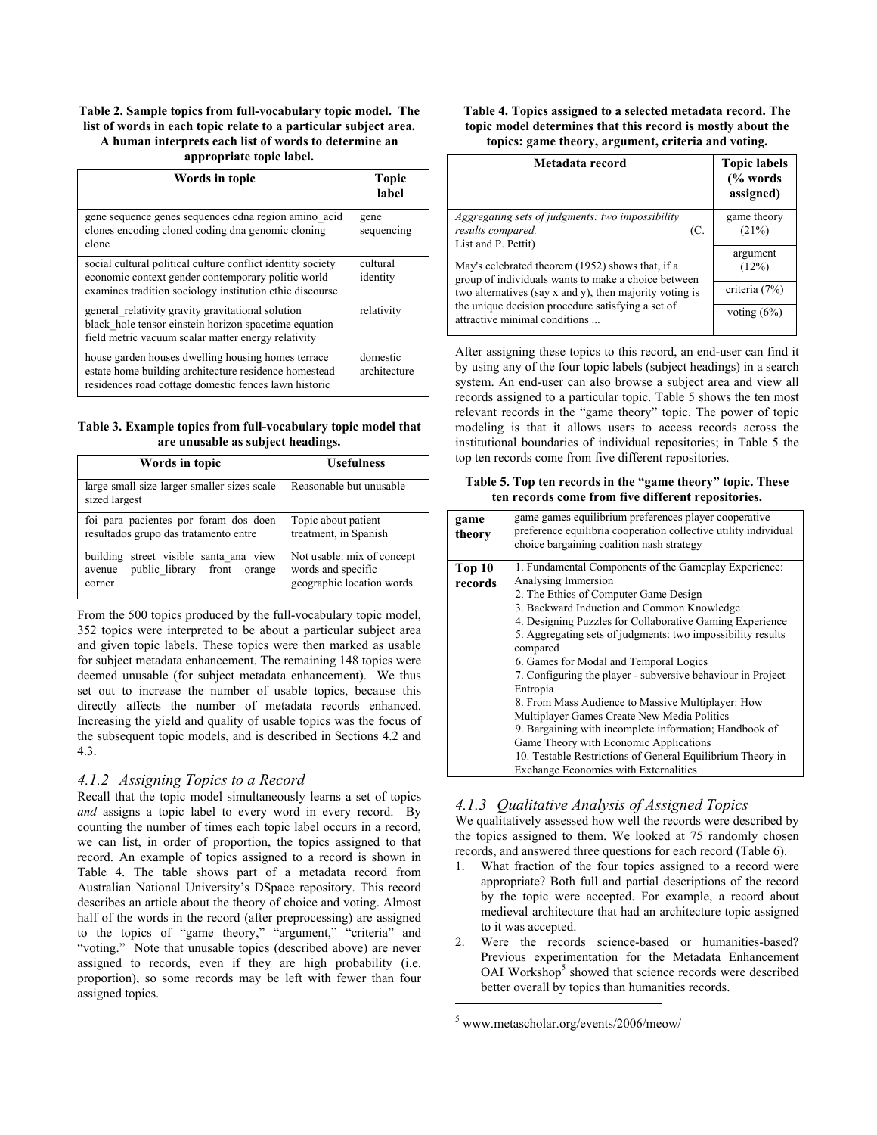#### **Table 2. Sample topics from full-vocabulary topic model. The list of words in each topic relate to a particular subject area. A human interprets each list of words to determine an appropriate topic label.**

| Words in topic                                                                                                                                                                | <b>Topic</b><br>label    |
|-------------------------------------------------------------------------------------------------------------------------------------------------------------------------------|--------------------------|
| gene sequence genes sequences cdna region amino acid<br>clones encoding cloned coding dna genomic cloning<br>clone                                                            | gene<br>sequencing       |
| social cultural political culture conflict identity society<br>economic context gender contemporary politic world<br>examines tradition sociology institution ethic discourse | cultural<br>identity     |
| general relativity gravity gravitational solution<br>black hole tensor einstein horizon spacetime equation<br>field metric vacuum scalar matter energy relativity             | relativity               |
| house garden houses dwelling housing homes terrace<br>estate home building architecture residence homestead<br>residences road cottage domestic fences lawn historic          | domestic<br>architecture |

#### **Table 3. Example topics from full-vocabulary topic model that are unusable as subject headings.**

| Words in topic                                                                                     | Usefulness                                                                    |
|----------------------------------------------------------------------------------------------------|-------------------------------------------------------------------------------|
| large small size larger smaller sizes scale<br>sized largest                                       | Reasonable but unusable                                                       |
| foi para pacientes por foram dos doen<br>resultados grupo das tratamento entre                     | Topic about patient<br>treatment, in Spanish                                  |
| street visible santa ana view<br>building<br>public library<br>front<br>avenue<br>orange<br>corner | Not usable: mix of concept<br>words and specific<br>geographic location words |

From the 500 topics produced by the full-vocabulary topic model, 352 topics were interpreted to be about a particular subject area and given topic labels. These topics were then marked as usable for subject metadata enhancement. The remaining 148 topics were deemed unusable (for subject metadata enhancement). We thus set out to increase the number of usable topics, because this directly affects the number of metadata records enhanced. Increasing the yield and quality of usable topics was the focus of the subsequent topic models, and is described in Sections 4.2 and 4.3.

# *4.1.2 Assigning Topics to a Record*

Recall that the topic model simultaneously learns a set of topics *and* assigns a topic label to every word in every record. By counting the number of times each topic label occurs in a record, we can list, in order of proportion, the topics assigned to that record. An example of topics assigned to a record is shown in Table 4. The table shows part of a metadata record from Australian National University's DSpace repository. This record describes an article about the theory of choice and voting. Almost half of the words in the record (after preprocessing) are assigned to the topics of "game theory," "argument," "criteria" and "voting." Note that unusable topics (described above) are never assigned to records, even if they are high probability (i.e. proportion), so some records may be left with fewer than four assigned topics.

#### **Table 4. Topics assigned to a selected metadata record. The topic model determines that this record is mostly about the topics: game theory, argument, criteria and voting.**

| Metadata record                                                                                              | <b>Topic labels</b><br>$\frac{6}{6}$ words<br>assigned) |
|--------------------------------------------------------------------------------------------------------------|---------------------------------------------------------|
| Aggregating sets of judgments: two impossibility<br>results compared.<br>(C.<br>List and P. Pettit)          | game theory<br>(21%)<br>argument                        |
| May's celebrated theorem (1952) shows that, if a<br>group of individuals wants to make a choice between      | (12%)                                                   |
| two alternatives (say x and y), then majority voting is<br>the unique decision procedure satisfying a set of | criteria (7%)                                           |
| attractive minimal conditions                                                                                | voting $(6%)$                                           |

After assigning these topics to this record, an end-user can find it by using any of the four topic labels (subject headings) in a search system. An end-user can also browse a subject area and view all records assigned to a particular topic. Table 5 shows the ten most relevant records in the "game theory" topic. The power of topic modeling is that it allows users to access records across the institutional boundaries of individual repositories; in Table 5 the top ten records come from five different repositories.

#### **Table 5. Top ten records in the "game theory" topic. These ten records come from five different repositories.**

| game<br>theory               | game games equilibrium preferences player cooperative<br>preference equilibria cooperation collective utility individual<br>choice bargaining coalition nash strategy                                                                                                                                                                                                                                                                                                                                                                                                                                                                                                                                 |
|------------------------------|-------------------------------------------------------------------------------------------------------------------------------------------------------------------------------------------------------------------------------------------------------------------------------------------------------------------------------------------------------------------------------------------------------------------------------------------------------------------------------------------------------------------------------------------------------------------------------------------------------------------------------------------------------------------------------------------------------|
| Top <sub>10</sub><br>records | 1. Fundamental Components of the Gameplay Experience:<br>Analysing Immersion<br>2. The Ethics of Computer Game Design<br>3. Backward Induction and Common Knowledge<br>4. Designing Puzzles for Collaborative Gaming Experience<br>5. Aggregating sets of judgments: two impossibility results<br>compared<br>6. Games for Modal and Temporal Logics<br>7. Configuring the player - subversive behaviour in Project<br>Entropia<br>8. From Mass Audience to Massive Multiplayer: How<br>Multiplayer Games Create New Media Politics<br>9. Bargaining with incomplete information; Handbook of<br>Game Theory with Economic Applications<br>10. Testable Restrictions of General Equilibrium Theory in |
|                              | <b>Exchange Economies with Externalities</b>                                                                                                                                                                                                                                                                                                                                                                                                                                                                                                                                                                                                                                                          |

# *4.1.3 Qualitative Analysis of Assigned Topics*

We qualitatively assessed how well the records were described by the topics assigned to them. We looked at 75 randomly chosen records, and answered three questions for each record (Table 6).

- 1. What fraction of the four topics assigned to a record were appropriate? Both full and partial descriptions of the record by the topic were accepted. For example, a record about medieval architecture that had an architecture topic assigned to it was accepted.
- 2. Were the records science-based or humanities-based? Previous experimentation for the Metadata Enhancement OAI Workshop<sup>5</sup> showed that science records were described better overall by topics than humanities records. 1

<sup>5</sup> www.metascholar.org/events/2006/meow/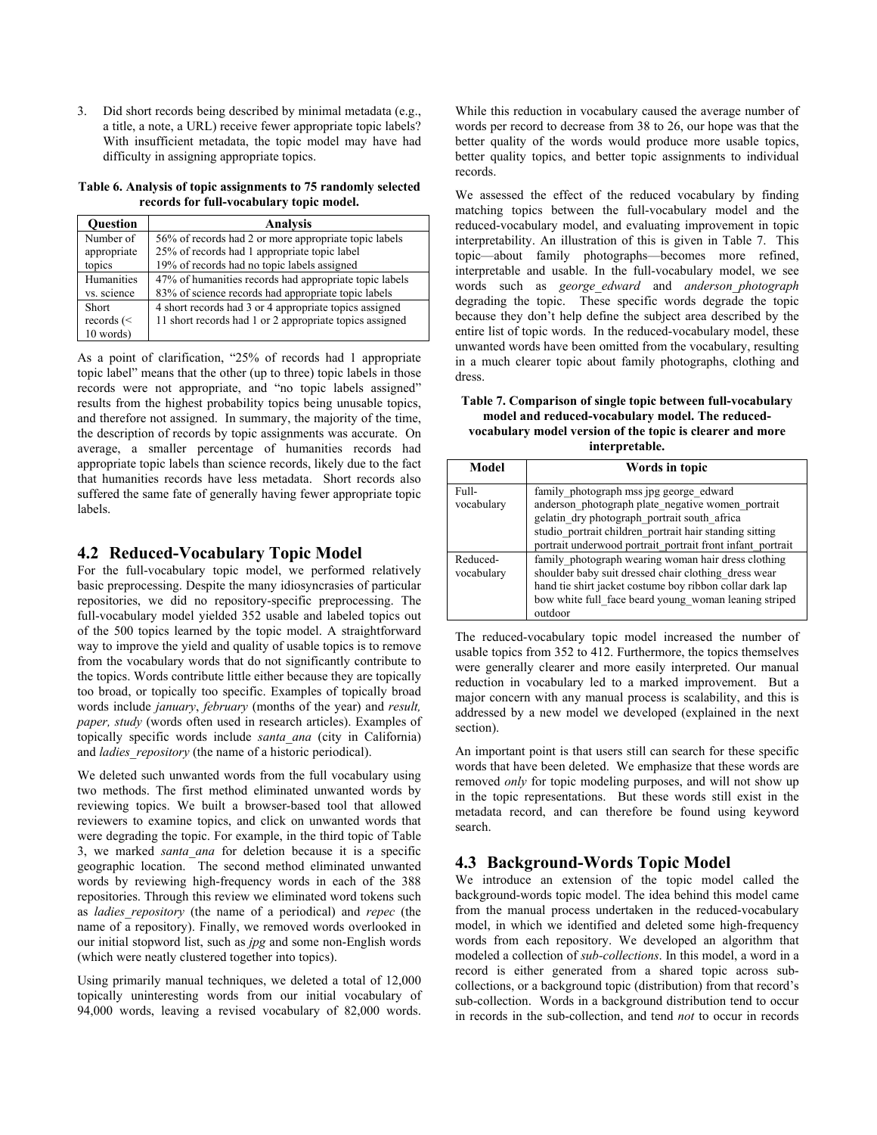3. Did short records being described by minimal metadata (e.g., a title, a note, a URL) receive fewer appropriate topic labels? With insufficient metadata, the topic model may have had difficulty in assigning appropriate topics.

**Table 6. Analysis of topic assignments to 75 randomly selected records for full-vocabulary topic model.** 

| <b>Ouestion</b>    | Analysis                                                |
|--------------------|---------------------------------------------------------|
| Number of          | 56% of records had 2 or more appropriate topic labels   |
| appropriate        | 25% of records had 1 appropriate topic label            |
| topics             | 19% of records had no topic labels assigned             |
| Humanities         | 47% of humanities records had appropriate topic labels  |
| vs. science        | 83% of science records had appropriate topic labels     |
| Short              | 4 short records had 3 or 4 appropriate topics assigned  |
| records $\left($ < | 11 short records had 1 or 2 appropriate topics assigned |
| 10 words)          |                                                         |

As a point of clarification, "25% of records had 1 appropriate topic label" means that the other (up to three) topic labels in those records were not appropriate, and "no topic labels assigned" results from the highest probability topics being unusable topics, and therefore not assigned. In summary, the majority of the time, the description of records by topic assignments was accurate. On average, a smaller percentage of humanities records had appropriate topic labels than science records, likely due to the fact that humanities records have less metadata. Short records also suffered the same fate of generally having fewer appropriate topic labels.

# **4.2 Reduced-Vocabulary Topic Model**

For the full-vocabulary topic model, we performed relatively basic preprocessing. Despite the many idiosyncrasies of particular repositories, we did no repository-specific preprocessing. The full-vocabulary model yielded 352 usable and labeled topics out of the 500 topics learned by the topic model. A straightforward way to improve the yield and quality of usable topics is to remove from the vocabulary words that do not significantly contribute to the topics. Words contribute little either because they are topically too broad, or topically too specific. Examples of topically broad words include *january*, *february* (months of the year) and *result, paper, study* (words often used in research articles). Examples of topically specific words include *santa\_ana* (city in California) and *ladies\_repository* (the name of a historic periodical).

We deleted such unwanted words from the full vocabulary using two methods. The first method eliminated unwanted words by reviewing topics. We built a browser-based tool that allowed reviewers to examine topics, and click on unwanted words that were degrading the topic. For example, in the third topic of Table 3, we marked *santa\_ana* for deletion because it is a specific geographic location. The second method eliminated unwanted words by reviewing high-frequency words in each of the 388 repositories. Through this review we eliminated word tokens such as *ladies\_repository* (the name of a periodical) and *repec* (the name of a repository). Finally, we removed words overlooked in our initial stopword list, such as *jpg* and some non-English words (which were neatly clustered together into topics).

Using primarily manual techniques, we deleted a total of 12,000 topically uninteresting words from our initial vocabulary of 94,000 words, leaving a revised vocabulary of 82,000 words.

While this reduction in vocabulary caused the average number of words per record to decrease from 38 to 26, our hope was that the better quality of the words would produce more usable topics, better quality topics, and better topic assignments to individual records.

We assessed the effect of the reduced vocabulary by finding matching topics between the full-vocabulary model and the reduced-vocabulary model, and evaluating improvement in topic interpretability. An illustration of this is given in Table 7. This topic—about family photographs—becomes more refined, interpretable and usable. In the full-vocabulary model, we see words such as *george\_edward* and *anderson\_photograph*  degrading the topic. These specific words degrade the topic because they don't help define the subject area described by the entire list of topic words. In the reduced-vocabulary model, these unwanted words have been omitted from the vocabulary, resulting in a much clearer topic about family photographs, clothing and dress.

#### **Table 7. Comparison of single topic between full-vocabulary model and reduced-vocabulary model. The reducedvocabulary model version of the topic is clearer and more interpretable.**

| Model                  | Words in topic                                                                                                                                                                                                                                                        |
|------------------------|-----------------------------------------------------------------------------------------------------------------------------------------------------------------------------------------------------------------------------------------------------------------------|
| Full-<br>vocabulary    | family photograph mss jpg george edward<br>anderson photograph plate negative women portrait<br>gelatin dry photograph_portrait south_africa<br>studio portrait children portrait hair standing sitting<br>portrait underwood portrait portrait front infant portrait |
| Reduced-<br>vocabulary | family photograph wearing woman hair dress clothing<br>shoulder baby suit dressed chair clothing dress wear<br>hand tie shirt jacket costume boy ribbon collar dark lap<br>bow white full face beard young woman leaning striped<br>outdoor                           |

The reduced-vocabulary topic model increased the number of usable topics from 352 to 412. Furthermore, the topics themselves were generally clearer and more easily interpreted. Our manual reduction in vocabulary led to a marked improvement. But a major concern with any manual process is scalability, and this is addressed by a new model we developed (explained in the next section).

An important point is that users still can search for these specific words that have been deleted. We emphasize that these words are removed *only* for topic modeling purposes, and will not show up in the topic representations. But these words still exist in the metadata record, and can therefore be found using keyword search.

# **4.3 Background-Words Topic Model**

We introduce an extension of the topic model called the background-words topic model. The idea behind this model came from the manual process undertaken in the reduced-vocabulary model, in which we identified and deleted some high-frequency words from each repository. We developed an algorithm that modeled a collection of *sub-collections*. In this model, a word in a record is either generated from a shared topic across subcollections, or a background topic (distribution) from that record's sub-collection. Words in a background distribution tend to occur in records in the sub-collection, and tend *not* to occur in records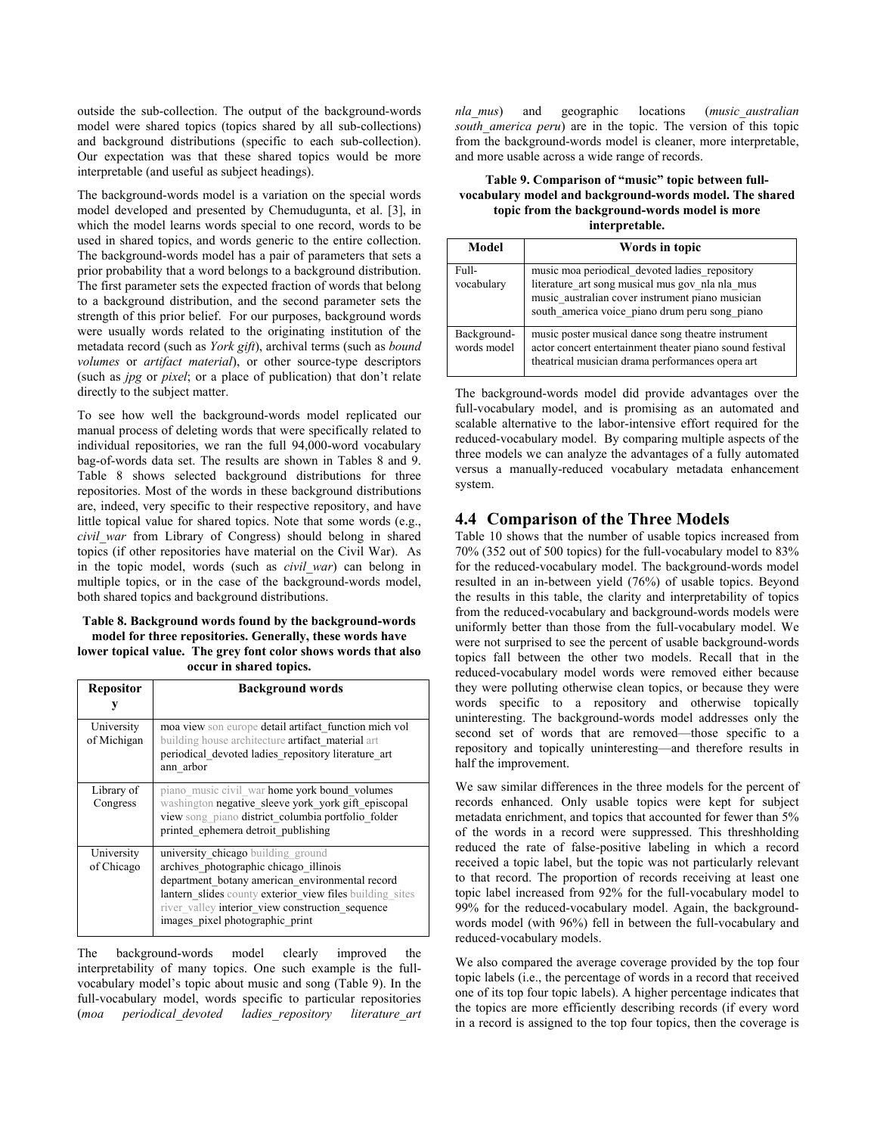outside the sub-collection. The output of the background-words model were shared topics (topics shared by all sub-collections) and background distributions (specific to each sub-collection). Our expectation was that these shared topics would be more interpretable (and useful as subject headings).

The background-words model is a variation on the special words model developed and presented by Chemudugunta, et al. [3], in which the model learns words special to one record, words to be used in shared topics, and words generic to the entire collection. The background-words model has a pair of parameters that sets a prior probability that a word belongs to a background distribution. The first parameter sets the expected fraction of words that belong to a background distribution, and the second parameter sets the strength of this prior belief. For our purposes, background words were usually words related to the originating institution of the metadata record (such as *York gift*), archival terms (such as *bound volumes* or *artifact material*), or other source-type descriptors (such as *jpg* or *pixel*; or a place of publication) that don't relate directly to the subject matter.

To see how well the background-words model replicated our manual process of deleting words that were specifically related to individual repositories, we ran the full 94,000-word vocabulary bag-of-words data set. The results are shown in Tables 8 and 9. Table 8 shows selected background distributions for three repositories. Most of the words in these background distributions are, indeed, very specific to their respective repository, and have little topical value for shared topics. Note that some words (e.g., *civil\_war* from Library of Congress) should belong in shared topics (if other repositories have material on the Civil War). As in the topic model, words (such as *civil\_war*) can belong in multiple topics, or in the case of the background-words model, both shared topics and background distributions.

#### **Table 8. Background words found by the background-words model for three repositories. Generally, these words have lower topical value. The grey font color shows words that also occur in shared topics.**

| <b>Repositor</b>          | <b>Background words</b>                                                                                                                                                                                                                                                            |
|---------------------------|------------------------------------------------------------------------------------------------------------------------------------------------------------------------------------------------------------------------------------------------------------------------------------|
| University<br>of Michigan | moa view son europe detail artifact function mich vol<br>building house architecture <b>artifact</b> material art<br>periodical devoted ladies repository literature art<br>ann arbor                                                                                              |
| Library of<br>Congress    | piano music civil war home york bound volumes<br>washington negative sleeve york york gift episcopal<br>view song piano district columbia portfolio folder<br>printed ephemera detroit publishing                                                                                  |
| University<br>of Chicago  | university chicago building ground<br>archives photographic chicago_illinois<br>department botany american environmental record<br>lantern slides county exterior view files building sites<br>river valley interior view construction sequence<br>images pixel photographic print |

The background-words model clearly improved the interpretability of many topics. One such example is the fullvocabulary model's topic about music and song (Table 9). In the full-vocabulary model, words specific to particular repositories (*moa periodical\_devoted ladies\_repository literature\_art*  *nla\_mus*) and geographic locations (*music\_australian south america peru*) are in the topic. The version of this topic from the background-words model is cleaner, more interpretable, and more usable across a wide range of records.

#### **Table 9. Comparison of "music" topic between fullvocabulary model and background-words model. The shared topic from the background-words model is more interpretable.**

| Model                      | Words in topic                                                                                                                                                                                          |
|----------------------------|---------------------------------------------------------------------------------------------------------------------------------------------------------------------------------------------------------|
| Full-<br>vocabulary        | music moa periodical devoted ladies repository<br>literature art song musical mus gov nla nla mus<br>music australian cover instrument piano musician<br>south america voice piano drum peru song_piano |
| Background-<br>words model | music poster musical dance song theatre instrument<br>actor concert entertainment theater piano sound festival<br>theatrical musician drama performances opera art                                      |

The background-words model did provide advantages over the full-vocabulary model, and is promising as an automated and scalable alternative to the labor-intensive effort required for the reduced-vocabulary model. By comparing multiple aspects of the three models we can analyze the advantages of a fully automated versus a manually-reduced vocabulary metadata enhancement system.

# **4.4 Comparison of the Three Models**

Table 10 shows that the number of usable topics increased from 70% (352 out of 500 topics) for the full-vocabulary model to 83% for the reduced-vocabulary model. The background-words model resulted in an in-between yield (76%) of usable topics. Beyond the results in this table, the clarity and interpretability of topics from the reduced-vocabulary and background-words models were uniformly better than those from the full-vocabulary model. We were not surprised to see the percent of usable background-words topics fall between the other two models. Recall that in the reduced-vocabulary model words were removed either because they were polluting otherwise clean topics, or because they were words specific to a repository and otherwise topically uninteresting. The background-words model addresses only the second set of words that are removed—those specific to a repository and topically uninteresting—and therefore results in half the improvement.

We saw similar differences in the three models for the percent of records enhanced. Only usable topics were kept for subject metadata enrichment, and topics that accounted for fewer than 5% of the words in a record were suppressed. This threshholding reduced the rate of false-positive labeling in which a record received a topic label, but the topic was not particularly relevant to that record. The proportion of records receiving at least one topic label increased from 92% for the full-vocabulary model to 99% for the reduced-vocabulary model. Again, the backgroundwords model (with 96%) fell in between the full-vocabulary and reduced-vocabulary models.

We also compared the average coverage provided by the top four topic labels (i.e., the percentage of words in a record that received one of its top four topic labels). A higher percentage indicates that the topics are more efficiently describing records (if every word in a record is assigned to the top four topics, then the coverage is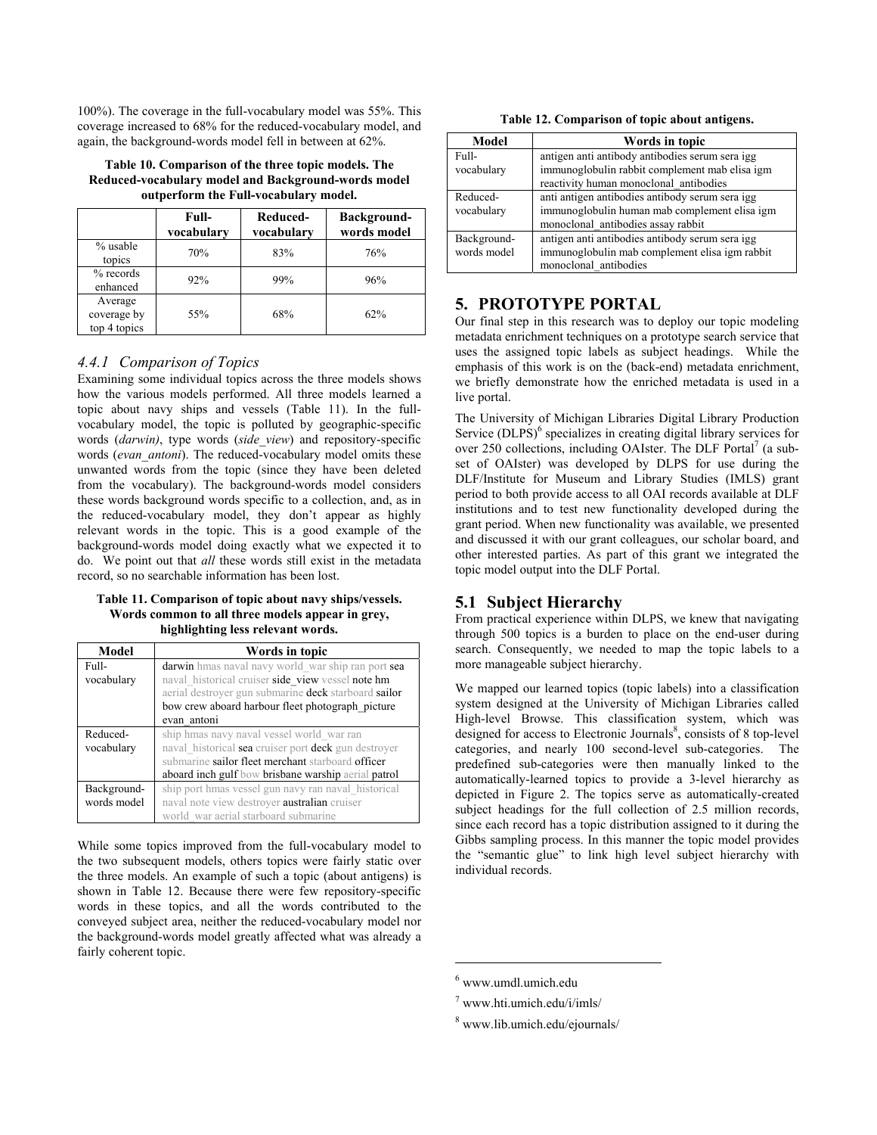100%). The coverage in the full-vocabulary model was 55%. This coverage increased to 68% for the reduced-vocabulary model, and again, the background-words model fell in between at 62%.

| Table 10. Comparison of the three topic models. The |
|-----------------------------------------------------|
| Reduced-vocabulary model and Background-words model |
| outperform the Full-vocabulary model.               |

|                                        | <b>Full-</b><br>vocabulary | Reduced-<br>vocabulary | Background-<br>words model |
|----------------------------------------|----------------------------|------------------------|----------------------------|
| % usable<br>topics                     | 70%                        | 83%                    | 76%                        |
| $%$ records<br>enhanced                | 92%                        | 99%                    | 96%                        |
| Average<br>coverage by<br>top 4 topics | 55%                        | 68%                    | 62%                        |

### *4.4.1 Comparison of Topics*

Examining some individual topics across the three models shows how the various models performed. All three models learned a topic about navy ships and vessels (Table 11). In the fullvocabulary model, the topic is polluted by geographic-specific words (*darwin)*, type words (*side\_view*) and repository-specific words (*evan\_antoni*). The reduced-vocabulary model omits these unwanted words from the topic (since they have been deleted from the vocabulary). The background-words model considers these words background words specific to a collection, and, as in the reduced-vocabulary model, they don't appear as highly relevant words in the topic. This is a good example of the background-words model doing exactly what we expected it to do. We point out that *all* these words still exist in the metadata record, so no searchable information has been lost.

#### **Table 11. Comparison of topic about navy ships/vessels. Words common to all three models appear in grey, highlighting less relevant words.**

| Model       | Words in topic                                       |
|-------------|------------------------------------------------------|
| Full-       | darwin hmas naval navy world war ship ran port sea   |
| vocabulary  | naval historical cruiser side view vessel note hm    |
|             | aerial destroyer gun submarine deck starboard sailor |
|             | bow crew aboard harbour fleet photograph picture     |
|             | evan antoni                                          |
| Reduced-    | ship hmas navy naval vessel world war ran            |
| vocabulary  | naval historical sea cruiser port deck gun destroyer |
|             | submarine sailor fleet merchant starboard officer    |
|             | aboard inch gulf bow brisbane warship aerial patrol  |
| Background- | ship port hmas vessel gun navy ran naval historical  |
| words model | naval note view destroyer <b>australian</b> cruiser  |
|             | world war aerial starboard submarine                 |

While some topics improved from the full-vocabulary model to the two subsequent models, others topics were fairly static over the three models. An example of such a topic (about antigens) is shown in Table 12. Because there were few repository-specific words in these topics, and all the words contributed to the conveyed subject area, neither the reduced-vocabulary model nor the background-words model greatly affected what was already a fairly coherent topic.

**Table 12. Comparison of topic about antigens.** 

| Model       | Words in topic                                  |
|-------------|-------------------------------------------------|
| Full-       | antigen anti antibody antibodies serum sera igg |
| vocabulary  | immunoglobulin rabbit complement mab elisa igm  |
|             | reactivity human monoclonal antibodies          |
| Reduced-    | anti antigen antibodies antibody serum sera igg |
| vocabulary  | immunoglobulin human mab complement elisa igm   |
|             | monoclonal antibodies assay rabbit              |
| Background- | antigen anti antibodies antibody serum sera igg |
| words model | immunoglobulin mab complement elisa igm rabbit  |
|             | monoclonal antibodies                           |

### **5. PROTOTYPE PORTAL**

Our final step in this research was to deploy our topic modeling metadata enrichment techniques on a prototype search service that uses the assigned topic labels as subject headings. While the emphasis of this work is on the (back-end) metadata enrichment, we briefly demonstrate how the enriched metadata is used in a live portal.

The University of Michigan Libraries Digital Library Production Service (DLPS)<sup>6</sup> specializes in creating digital library services for over 250 collections, including OAIster. The DLF Portal<sup>7</sup> (a subset of OAIster) was developed by DLPS for use during the DLF/Institute for Museum and Library Studies (IMLS) grant period to both provide access to all OAI records available at DLF institutions and to test new functionality developed during the grant period. When new functionality was available, we presented and discussed it with our grant colleagues, our scholar board, and other interested parties. As part of this grant we integrated the topic model output into the DLF Portal.

### **5.1 Subject Hierarchy**

From practical experience within DLPS, we knew that navigating through 500 topics is a burden to place on the end-user during search. Consequently, we needed to map the topic labels to a more manageable subject hierarchy.

We mapped our learned topics (topic labels) into a classification system designed at the University of Michigan Libraries called High-level Browse. This classification system, which was designed for access to Electronic Journals<sup>8</sup>, consists of 8 top-level categories, and nearly 100 second-level sub-categories. The predefined sub-categories were then manually linked to the automatically-learned topics to provide a 3-level hierarchy as depicted in Figure 2. The topics serve as automatically-created subject headings for the full collection of 2.5 million records, since each record has a topic distribution assigned to it during the Gibbs sampling process. In this manner the topic model provides the "semantic glue" to link high level subject hierarchy with individual records.

1

8 www.lib.umich.edu/ejournals/

<sup>6</sup> www.umdl.umich.edu

<sup>7</sup> www.hti.umich.edu/i/imls/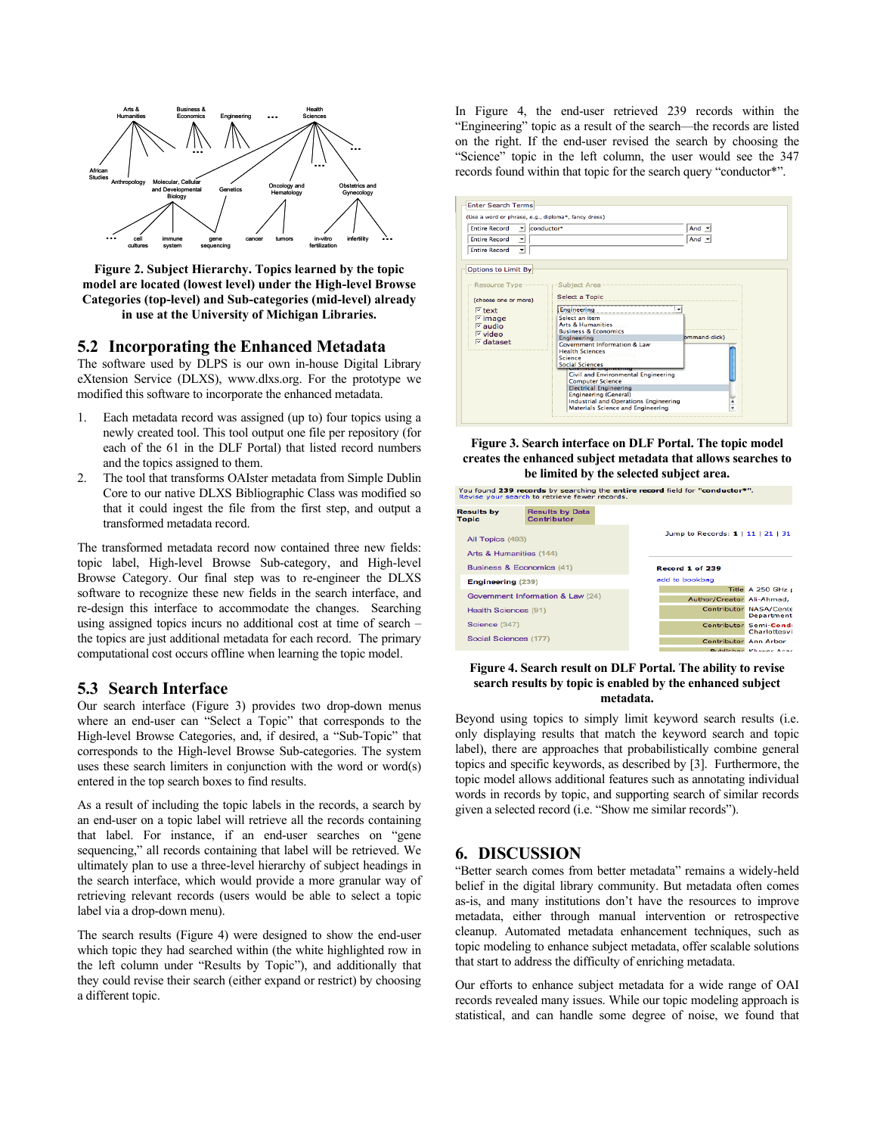

**Figure 2. Subject Hierarchy. Topics learned by the topic model are located (lowest level) under the High-level Browse Categories (top-level) and Sub-categories (mid-level) already in use at the University of Michigan Libraries.** 

### **5.2 Incorporating the Enhanced Metadata**

The software used by DLPS is our own in-house Digital Library eXtension Service (DLXS), www.dlxs.org. For the prototype we modified this software to incorporate the enhanced metadata.

- 1. Each metadata record was assigned (up to) four topics using a newly created tool. This tool output one file per repository (for each of the 61 in the DLF Portal) that listed record numbers and the topics assigned to them.
- 2. The tool that transforms OAIster metadata from Simple Dublin Core to our native DLXS Bibliographic Class was modified so that it could ingest the file from the first step, and output a transformed metadata record.

The transformed metadata record now contained three new fields: topic label, High-level Browse Sub-category, and High-level Browse Category. Our final step was to re-engineer the DLXS software to recognize these new fields in the search interface, and re-design this interface to accommodate the changes. Searching using assigned topics incurs no additional cost at time of search – the topics are just additional metadata for each record. The primary computational cost occurs offline when learning the topic model.

## **5.3 Search Interface**

Our search interface (Figure 3) provides two drop-down menus where an end-user can "Select a Topic" that corresponds to the High-level Browse Categories, and, if desired, a "Sub-Topic" that corresponds to the High-level Browse Sub-categories. The system uses these search limiters in conjunction with the word or word(s) entered in the top search boxes to find results.

As a result of including the topic labels in the records, a search by an end-user on a topic label will retrieve all the records containing that label. For instance, if an end-user searches on "gene sequencing," all records containing that label will be retrieved. We ultimately plan to use a three-level hierarchy of subject headings in the search interface, which would provide a more granular way of retrieving relevant records (users would be able to select a topic label via a drop-down menu).

The search results (Figure 4) were designed to show the end-user which topic they had searched within (the white highlighted row in the left column under "Results by Topic"), and additionally that they could revise their search (either expand or restrict) by choosing a different topic.

In Figure 4, the end-user retrieved 239 records within the "Engineering" topic as a result of the search—the records are listed on the right. If the end-user revised the search by choosing the "Science" topic in the left column, the user would see the 347 records found within that topic for the search query "conductor\*".

| <b>Entire Record</b><br>conductor*<br>$\mathbf{v}$<br><b>Entire Record</b><br>$\mathbf{r}$                                                                                                     | And $\blacktriangledown$<br>And $\blacktriangledown$                                                                                                                                                                             |               |
|------------------------------------------------------------------------------------------------------------------------------------------------------------------------------------------------|----------------------------------------------------------------------------------------------------------------------------------------------------------------------------------------------------------------------------------|---------------|
| <b>Entire Record</b><br>$\mathbf{v}$                                                                                                                                                           |                                                                                                                                                                                                                                  |               |
| <b>Options to Limit By</b><br>Resource Type<br>(choose one or more)<br>$\overline{v}$ text<br>$\triangledown$ image<br>$\overline{v}$ audio<br>$\triangledown$ video<br>$\overline{v}$ dataset | Subject Area<br>Select a Topic<br>Engineering<br>Select an item<br><b>Arts &amp; Humanities</b><br><b>Business &amp; Economics</b><br><b>Engineering</b>                                                                         | ommand-click) |
|                                                                                                                                                                                                | <b>Covernment Information &amp; Law</b><br><b>Health Sciences</b><br>Science<br><b>Social Sciences</b><br>memncar Engineering<br>Civil and Environmental Engineering<br><b>Computer Science</b><br><b>Electrical Engineering</b> |               |
|                                                                                                                                                                                                | <b>Engineering (General)</b><br><b>Industrial and Operations Engineering</b>                                                                                                                                                     | $\frac{4}{7}$ |

**Figure 3. Search interface on DLF Portal. The topic model creates the enhanced subject metadata that allows searches to be limited by the selected subject area.** 

You found 239 records by searching the entire record field for "conductor\*".

| <b>Results by</b><br>Topic        | <b>Results by Data</b><br><b>Contributor</b> |                                        |
|-----------------------------------|----------------------------------------------|----------------------------------------|
| All Topics (493)                  |                                              | Jump to Records: 1   11   21   31      |
| Arts & Humanities (144)           |                                              |                                        |
| Business & Economics (41)         |                                              | Record 1 of 239                        |
| Engineering (239)                 |                                              | add to bookbag                         |
|                                   |                                              | Title A 250 GHz r                      |
| Government Information & Law (24) |                                              | Author/Creator Ali-Ahmad.              |
| Health Sciences (91)              |                                              | Contributor NASA/Cente<br>Department   |
| Science (347)                     |                                              | Contributor Semi-Condi<br>Charlottesvi |
| Social Sciences (177)             |                                              | Contributor Ann Arbor                  |
|                                   |                                              | <b>Publicher Kluwer Acar</b>           |

**Figure 4. Search result on DLF Portal. The ability to revise search results by topic is enabled by the enhanced subject metadata.** 

Beyond using topics to simply limit keyword search results (i.e. only displaying results that match the keyword search and topic label), there are approaches that probabilistically combine general topics and specific keywords, as described by [3]. Furthermore, the topic model allows additional features such as annotating individual words in records by topic, and supporting search of similar records given a selected record (i.e. "Show me similar records").

# **6. DISCUSSION**

"Better search comes from better metadata" remains a widely-held belief in the digital library community. But metadata often comes as-is, and many institutions don't have the resources to improve metadata, either through manual intervention or retrospective cleanup. Automated metadata enhancement techniques, such as topic modeling to enhance subject metadata, offer scalable solutions that start to address the difficulty of enriching metadata.

Our efforts to enhance subject metadata for a wide range of OAI records revealed many issues. While our topic modeling approach is statistical, and can handle some degree of noise, we found that